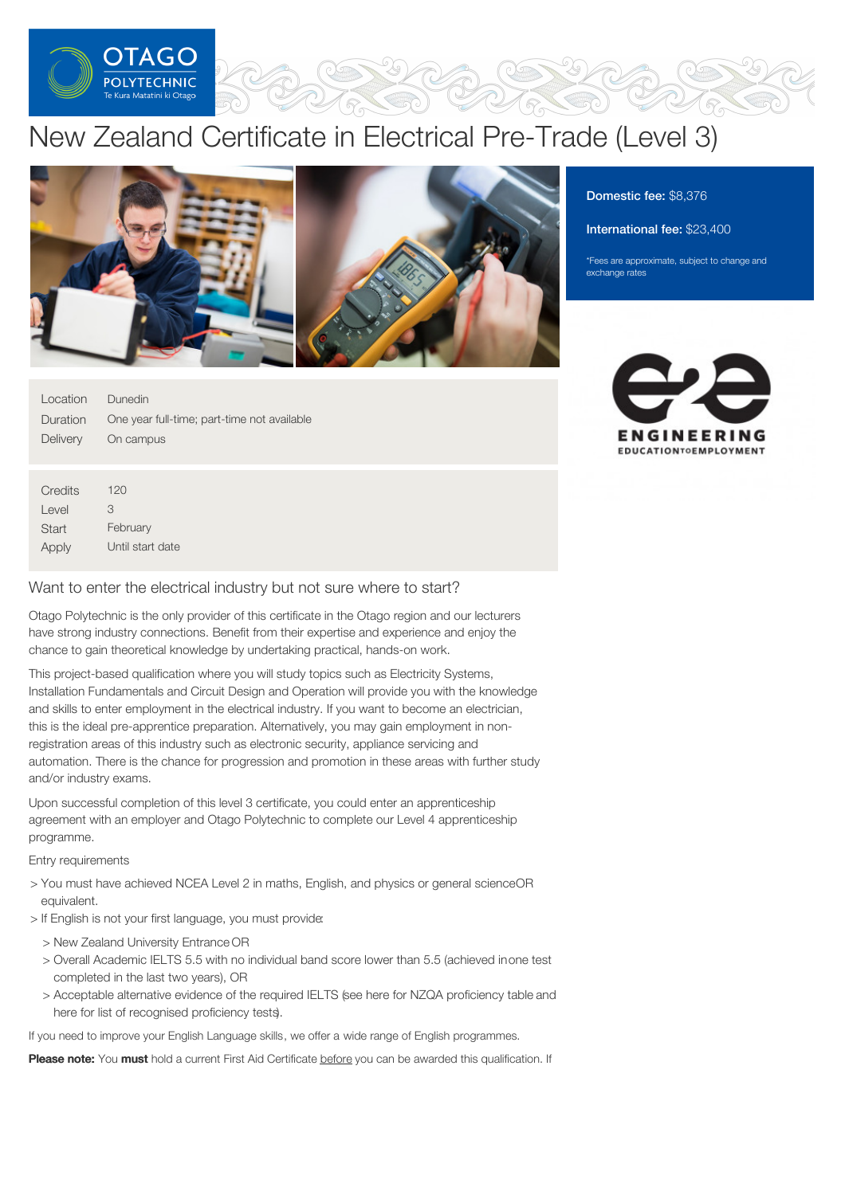

# New Zealand Certificate in Electrical Pre-Trade (Level 3)



Location Duration **Delivery** Dunedin One year full-time; part-time not available On campus

**Credits** Level **Start** Apply  $120$ 3 February Until start date

# Want to enter the electrical industry but not sure where to start?

Otago Polytechnic is the only provider of this certificate in the Otago region and our lecturers have strong industry connections. Benefit from their expertise and experience and enjoy the chance to gain theoretical knowledge by undertaking practical, hands-on work.

This project-based qualification where you will study topics such as Electricity Systems, Installation Fundamentals and Circuit Design and Operation will provide you with the knowledge and skills to enter employment in the electrical industry. If you want to become an electrician, this is the ideal pre-apprentice preparation. Alternatively, you may gain employment in nonregistration areas of this industry such as electronic security, appliance servicing and automation. There is the chance for progression and promotion in these areas with further study and/or industry exams.

Upon successful completion of this level 3 certificate, you could enter an apprenticeship agreement with an employer and Otago Polytechnic to complete our Level 4 apprenticeship programme.

## Entry requirements

- > You must have achieved NCEA Level 2 in maths, English, and physics or general scienceOR equivalent.
- > If English is not your first language, you must provide:
	- > New Zealand University Entrance OR
	- > Overall Academic IELTS 5.5 with no individual band score lower than 5.5 (achieved inone test completed in the last two years), OR
	- > Acceptable alternative evidence of the required IELTS (see here for NZQA proficiency table and here for list of recognised proficiency tests.

If you need to improve your English Language skills, we offer a wide range of English programmes.

Please note: You must hold a current First Aid Certificate before you can be awarded this qualification. If

# Domestic fee: \$8,376

International fee: \$23,400

\*Fees are approximate, subject to change and exchange rates

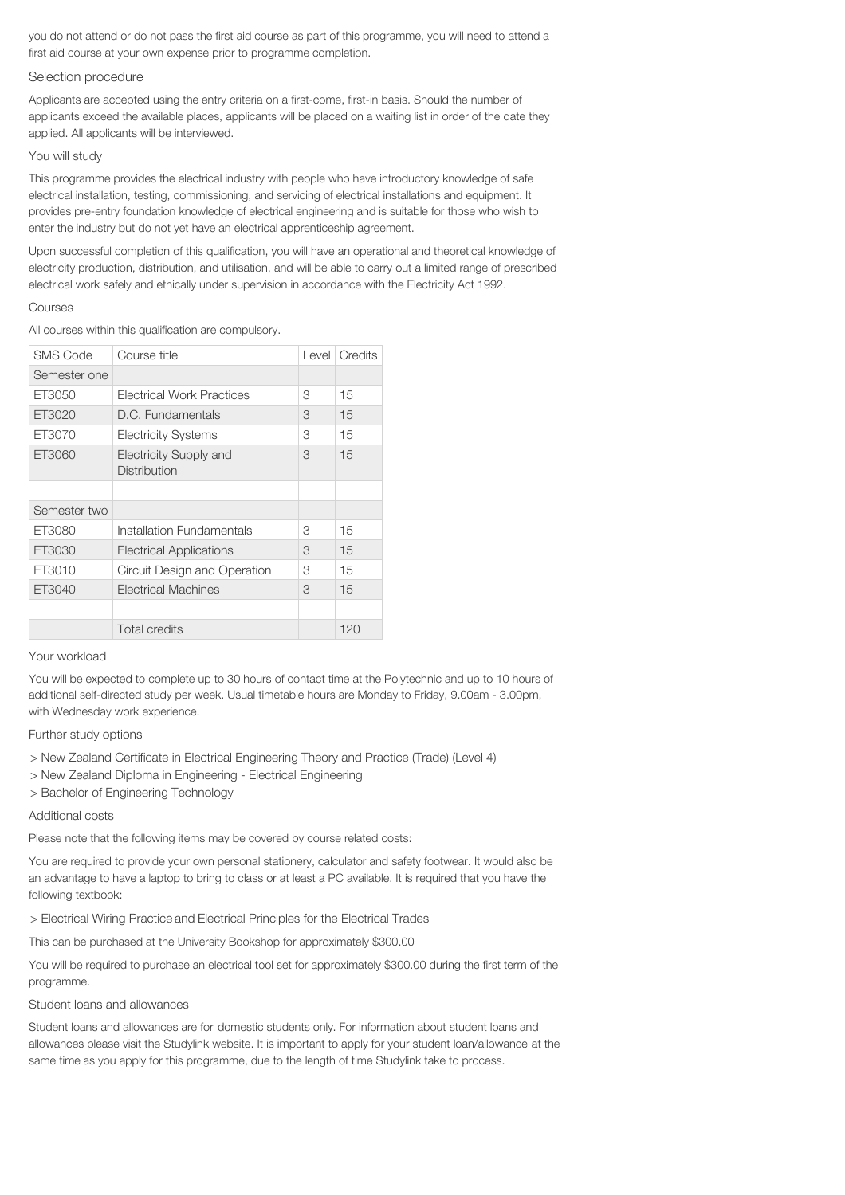you do not attend or do not pass the first aid course as part of this programme, you will need to attend a first aid course at your own expense prior to programme completion.

#### Selection procedure

Applicants are accepted using the entry criteria on a first-come, first-in basis. Should the number of applicants exceed the available places, applicants will be placed on a waiting list in order of the date they applied. All applicants will be interviewed.

#### You will study

This programme provides the electrical industry with people who have introductory knowledge of safe electrical installation, testing, commissioning, and servicing of electrical installations and equipment. It provides pre-entry foundation knowledge of electrical engineering and is suitable for those who wish to enter the industry but do not yet have an electrical apprenticeship agreement.

Upon successful completion of this qualification, you will have an operational and theoretical knowledge of electricity production, distribution, and utilisation, and will be able to carry out a limited range of prescribed electrical work safely and ethically under supervision in accordance with the Electricity Act 1992.

#### Courses

All courses within this qualification are compulsory.

| <b>SMS Code</b> | Course title                                  | Level | Credits |
|-----------------|-----------------------------------------------|-------|---------|
| Semester one    |                                               |       |         |
| ET3050          | Electrical Work Practices                     | 3     | 15      |
| ET3020          | D.C. Fundamentals                             | 3     | 15      |
| ET3070          | <b>Electricity Systems</b>                    | 3     | 15      |
| ET3060          | <b>Electricity Supply and</b><br>Distribution | 3     | 15      |
|                 |                                               |       |         |
| Semester two    |                                               |       |         |
| ET3080          | Installation Fundamentals                     | 3     | 15      |
| ET3030          | <b>Electrical Applications</b>                | 3     | 15      |
| ET3010          | Circuit Design and Operation                  | 3     | 15      |
| ET3040          | Electrical Machines                           | 3     | 15      |
|                 |                                               |       |         |
|                 | <b>Total credits</b>                          |       | 120     |

#### Your workload

You will be expected to complete up to 30 hours of contact time at the Polytechnic and up to 10 hours of additional self-directed study per week. Usual timetable hours are Monday to Friday, 9.00am - 3.00pm, with Wednesday work experience.

#### Further study options

- > New Zealand Certificate in Electrical Engineering Theory and Practice (Trade) (Level 4)
- > New Zealand Diploma in Engineering Electrical Engineering
- > Bachelor of Engineering Technology

## Additional costs

Please note that the following items may be covered by course related costs:

You are required to provide your own personal stationery, calculator and safety footwear. It would also be an advantage to have a laptop to bring to class or at least a PC available. It is required that you have the following textbook:

> Electrical Wiring Practice and Electrical Principles for the Electrical Trades

This can be purchased at the University Bookshop for approximately \$300.00

You will be required to purchase an electrical tool set for approximately \$300.00 during the first term of the programme.

## Student loans and allowances

Student loans and allowances are for domestic students only. For information about student loans and allowances please visit the Studylink website. It is important to apply for your student loan/allowance at the same time as you apply for this programme, due to the length of time Studylink take to process.